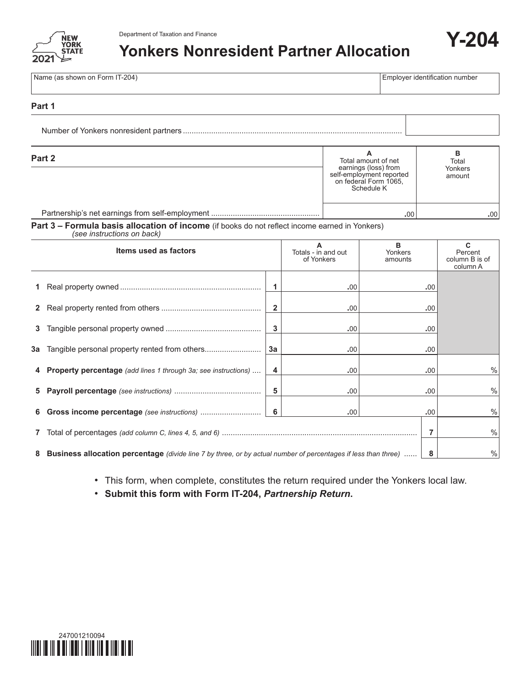

# **Yonkers Nonresident Partner Allocation Y-204**

Name (as shown on Form IT-204) **Employer identification number**  $\Box$  Employer identification number

### **Part 1**

Number of Yonkers nonresident partners ............................

**Part 2**

| Total amount of net<br>earnings (loss) from<br>self-employment reported<br>on federal Form 1065,<br>Schedule K | в<br>Total<br>Yonkers<br>amount |
|----------------------------------------------------------------------------------------------------------------|---------------------------------|
|                                                                                                                |                                 |

Partnership's net earnings from self-employment ..................................................

**Part 3 – Formula basis allocation of income** (if books do not reflect income earned in Yonkers)

|  | (see instructions on back) |  |  |
|--|----------------------------|--|--|
|  |                            |  |  |

| Items used as factors |                                                                                                                       |              | Totals - in and out<br>of Yonkers | в<br>Yonkers<br>amounts | C<br>Percent<br>column B is of<br>column A |
|-----------------------|-----------------------------------------------------------------------------------------------------------------------|--------------|-----------------------------------|-------------------------|--------------------------------------------|
|                       |                                                                                                                       |              | .00                               | .00.                    |                                            |
| 2 <sup>1</sup>        |                                                                                                                       | $\mathbf{2}$ | .00.                              | .00.                    |                                            |
| 3                     |                                                                                                                       | 3            | .00                               | .00.                    |                                            |
|                       | <b>3a</b> Tangible personal property rented from others                                                               | За           | .00                               | .00.                    |                                            |
|                       | 4 Property percentage (add lines 1 through 3a; see instructions)                                                      | 4            | .00                               | .00.                    | $\%$                                       |
|                       |                                                                                                                       | 5            | .00                               | .00.                    | $\%$                                       |
| 6                     |                                                                                                                       |              | .00                               | .00.                    | $\%$                                       |
|                       |                                                                                                                       |              |                                   |                         | $\%$                                       |
| 8                     | <b>Business allocation percentage</b> (divide line 7 by three, or by actual number of percentages if less than three) |              |                                   | -8                      | $\%$                                       |

• This form, when complete, constitutes the return required under the Yonkers local law.

• **Submit this form with Form IT-204,** *Partnership Return***.**